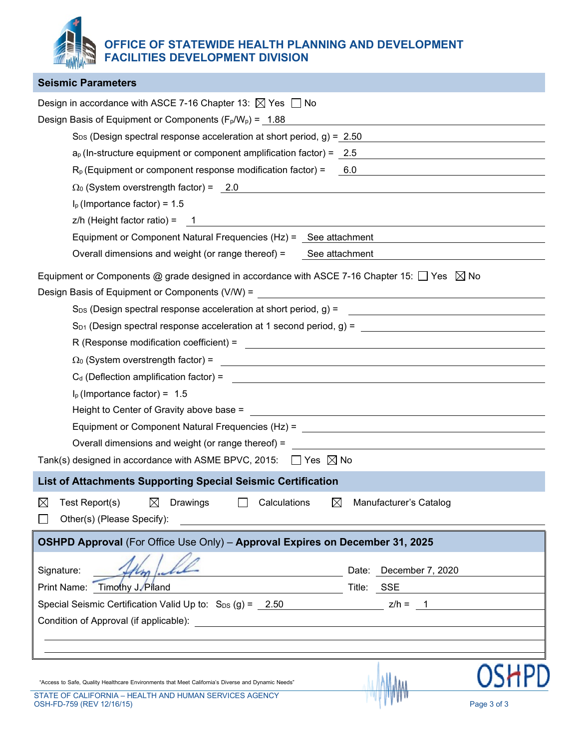**OFFICE OF STATEWIDE HEALTH PLANNING AND DEVELOPMENT FACILITIES DEVELOPMENT DIVISION**

| <b>Seismic Parameters</b>                                                                                                                                                    |
|------------------------------------------------------------------------------------------------------------------------------------------------------------------------------|
| Design in accordance with ASCE 7-16 Chapter 13: $\boxtimes$ Yes $\Box$ No                                                                                                    |
| Design Basis of Equipment or Components $(F_p/W_p) = 1.88$                                                                                                                   |
| $S_{DS}$ (Design spectral response acceleration at short period, g) = 2.50                                                                                                   |
| $a_p$ (In-structure equipment or component amplification factor) = 2.5                                                                                                       |
| $R_p$ (Equipment or component response modification factor) = 6.0<br><u> 1980 - Johann Stoff, fransk politik (d. 1980)</u>                                                   |
| $\Omega_0$ (System overstrength factor) = 2.0<br><u> 1980 - Johann Barn, mars and de Brasilian (b. 1980)</u>                                                                 |
| $Ip$ (Importance factor) = 1.5                                                                                                                                               |
|                                                                                                                                                                              |
| Equipment or Component Natural Frequencies (Hz) = See attachment                                                                                                             |
| Overall dimensions and weight (or range thereof) = See attachment                                                                                                            |
| Equipment or Components @ grade designed in accordance with ASCE 7-16 Chapter 15: $\Box$ Yes $\boxtimes$ No                                                                  |
|                                                                                                                                                                              |
|                                                                                                                                                                              |
|                                                                                                                                                                              |
|                                                                                                                                                                              |
| $\Omega_0$ (System overstrength factor) = $\blacksquare$                                                                                                                     |
| $C_d$ (Deflection amplification factor) = $\frac{1}{2}$                                                                                                                      |
| $I_p$ (Importance factor) = 1.5                                                                                                                                              |
|                                                                                                                                                                              |
|                                                                                                                                                                              |
| Overall dimensions and weight (or range thereof) =<br><u> and the contract of the contract of the contract of the contract of the contract of the contract of the contra</u> |
| Tank(s) designed in accordance with ASME BPVC, 2015: $\Box$ Yes $\boxtimes$ No                                                                                               |
| List of Attachments Supporting Special Seismic Certification                                                                                                                 |
| $\boxtimes$<br>Test Report(s)<br>Drawings<br>⊠<br>$\boxtimes$<br>Calculations<br>Manufacturer's Catalog                                                                      |
| Other(s) (Please Specify):                                                                                                                                                   |
| OSHPD Approval (For Office Use Only) - Approval Expires on December 31, 2025                                                                                                 |
|                                                                                                                                                                              |
| Signature:<br>Date: December 7, 2020                                                                                                                                         |
| Title: <u>SSE</u><br>Print Name: Timothy J. Piland                                                                                                                           |
| Special Seismic Certification Valid Up to: $S_{DS}(g) = 2.50$ z/h = $\frac{1}{1}$                                                                                            |
|                                                                                                                                                                              |
|                                                                                                                                                                              |
|                                                                                                                                                                              |
| OSł                                                                                                                                                                          |
| "Access to Safe, Quality Healthcare Environments that Meet California's Diverse and Dynamic Needs"<br>STATE OF CALIFORNIA - HEALTH AND HUMAN SERVICES AGENCY                 |

OSH-FD-759 (REV 12/16/15) Page 3 of 3